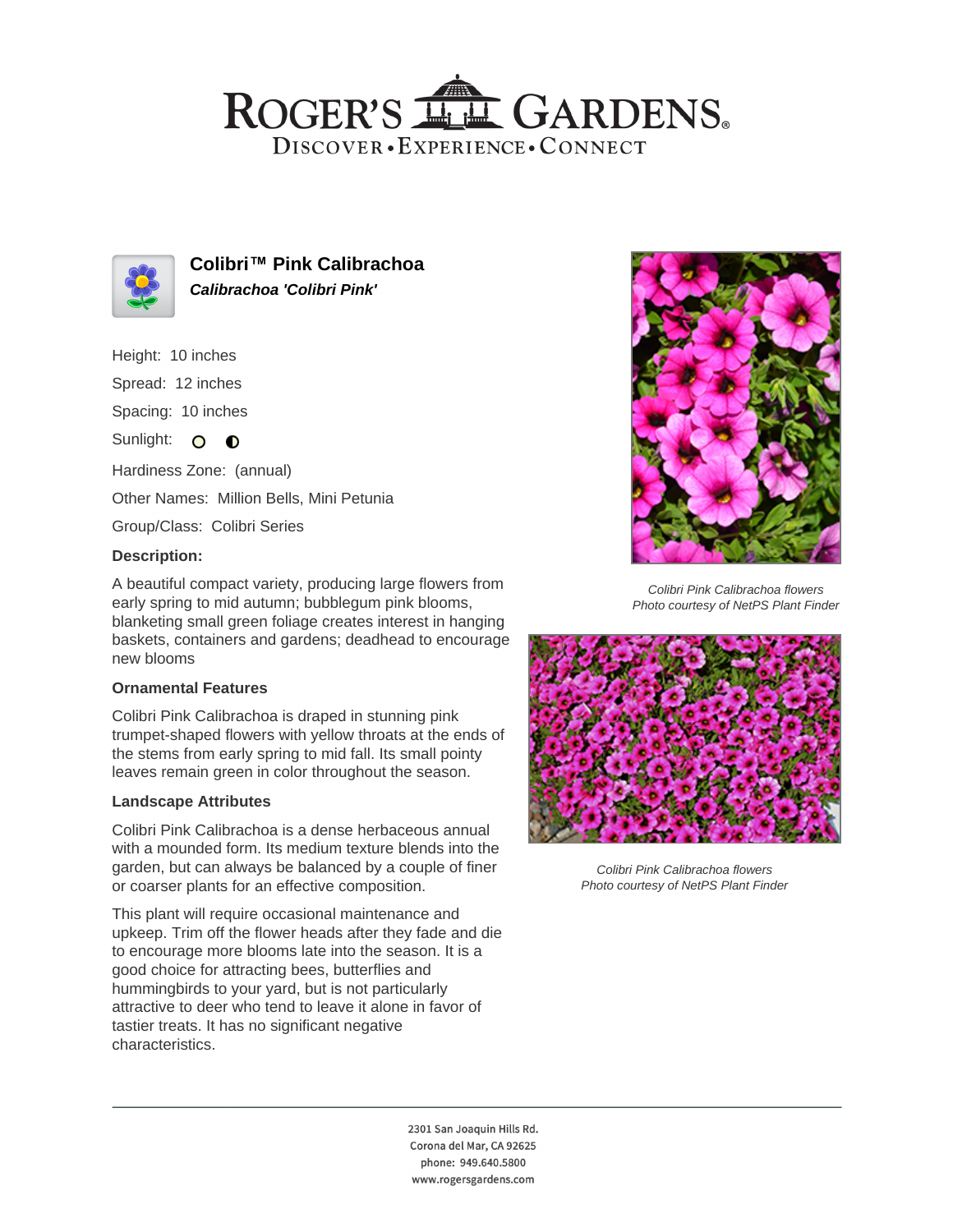## ROGER'S LL GARDENS. DISCOVER · EXPERIENCE · CONNECT



**Colibri™ Pink Calibrachoa Calibrachoa 'Colibri Pink'**

Height: 10 inches

Spread: 12 inches

Spacing: 10 inches

Sunlight: O **O** 

Hardiness Zone: (annual)

Other Names: Million Bells, Mini Petunia

Group/Class: Colibri Series

### **Description:**

A beautiful compact variety, producing large flowers from early spring to mid autumn; bubblegum pink blooms, blanketing small green foliage creates interest in hanging baskets, containers and gardens; deadhead to encourage new blooms

#### **Ornamental Features**

Colibri Pink Calibrachoa is draped in stunning pink trumpet-shaped flowers with yellow throats at the ends of the stems from early spring to mid fall. Its small pointy leaves remain green in color throughout the season.

#### **Landscape Attributes**

Colibri Pink Calibrachoa is a dense herbaceous annual with a mounded form. Its medium texture blends into the garden, but can always be balanced by a couple of finer or coarser plants for an effective composition.

This plant will require occasional maintenance and upkeep. Trim off the flower heads after they fade and die to encourage more blooms late into the season. It is a good choice for attracting bees, butterflies and hummingbirds to your yard, but is not particularly attractive to deer who tend to leave it alone in favor of tastier treats. It has no significant negative characteristics.



Colibri Pink Calibrachoa flowers Photo courtesy of NetPS Plant Finder



Colibri Pink Calibrachoa flowers Photo courtesy of NetPS Plant Finder

2301 San Joaquin Hills Rd. Corona del Mar, CA 92625 phone: 949.640.5800 www.rogersgardens.com